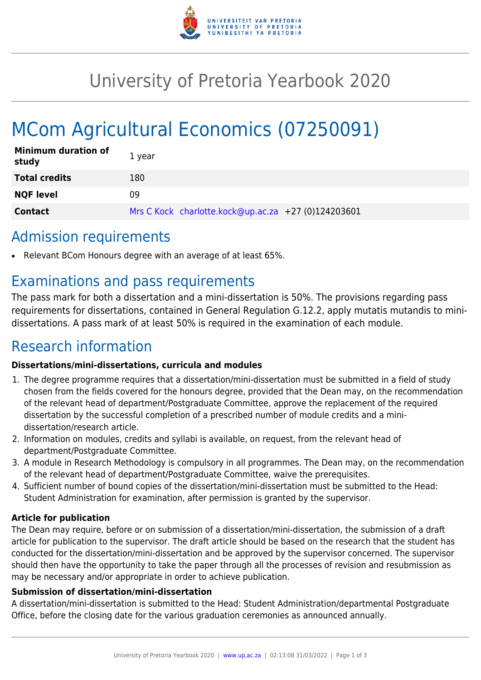

## University of Pretoria Yearbook 2020

# MCom Agricultural Economics (07250091)

| <b>Minimum duration of</b><br>study | 1 year                                              |
|-------------------------------------|-----------------------------------------------------|
| <b>Total credits</b>                | 180                                                 |
| <b>NQF level</b>                    | 09                                                  |
| <b>Contact</b>                      | Mrs C Kock charlotte.kock@up.ac.za +27 (0)124203601 |

### Admission requirements

Relevant BCom Honours degree with an average of at least 65%.

### Examinations and pass requirements

The pass mark for both a dissertation and a mini-dissertation is 50%. The provisions regarding pass requirements for dissertations, contained in General Regulation G.12.2, apply mutatis mutandis to minidissertations. A pass mark of at least 50% is required in the examination of each module.

### Research information

#### **Dissertations/mini-dissertations, curricula and modules**

- 1. The degree programme requires that a dissertation/mini-dissertation must be submitted in a field of study chosen from the fields covered for the honours degree, provided that the Dean may, on the recommendation of the relevant head of department/Postgraduate Committee, approve the replacement of the required dissertation by the successful completion of a prescribed number of module credits and a minidissertation/research article.
- 2. Information on modules, credits and syllabi is available, on request, from the relevant head of department/Postgraduate Committee.
- 3. A module in Research Methodology is compulsory in all programmes. The Dean may, on the recommendation of the relevant head of department/Postgraduate Committee, waive the prerequisites.
- 4. Sufficient number of bound copies of the dissertation/mini-dissertation must be submitted to the Head: Student Administration for examination, after permission is granted by the supervisor.

#### **Article for publication**

The Dean may require, before or on submission of a dissertation/mini-dissertation, the submission of a draft article for publication to the supervisor. The draft article should be based on the research that the student has conducted for the dissertation/mini-dissertation and be approved by the supervisor concerned. The supervisor should then have the opportunity to take the paper through all the processes of revision and resubmission as may be necessary and/or appropriate in order to achieve publication.

#### **Submission of dissertation/mini-dissertation**

A dissertation/mini-dissertation is submitted to the Head: Student Administration/departmental Postgraduate Office, before the closing date for the various graduation ceremonies as announced annually.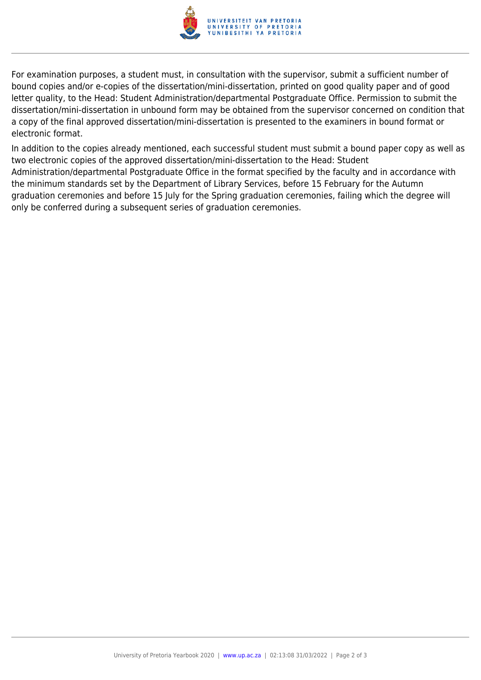

For examination purposes, a student must, in consultation with the supervisor, submit a sufficient number of bound copies and/or e-copies of the dissertation/mini-dissertation, printed on good quality paper and of good letter quality, to the Head: Student Administration/departmental Postgraduate Office. Permission to submit the dissertation/mini-dissertation in unbound form may be obtained from the supervisor concerned on condition that a copy of the final approved dissertation/mini-dissertation is presented to the examiners in bound format or electronic format.

In addition to the copies already mentioned, each successful student must submit a bound paper copy as well as two electronic copies of the approved dissertation/mini-dissertation to the Head: Student Administration/departmental Postgraduate Office in the format specified by the faculty and in accordance with the minimum standards set by the Department of Library Services, before 15 February for the Autumn graduation ceremonies and before 15 July for the Spring graduation ceremonies, failing which the degree will only be conferred during a subsequent series of graduation ceremonies.